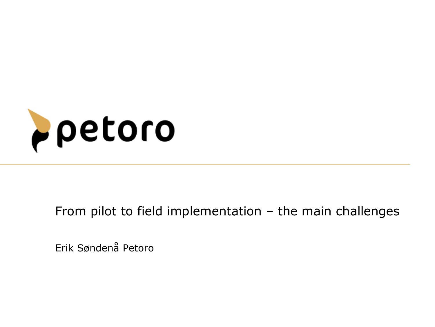

From pilot to field implementation - the main challenges

Erik Søndenå Petoro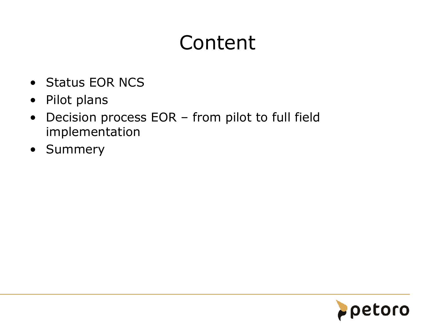# Content

- Status EOR NCS
- Pilot plans
- Decision process EOR from pilot to full field implementation
- Summery

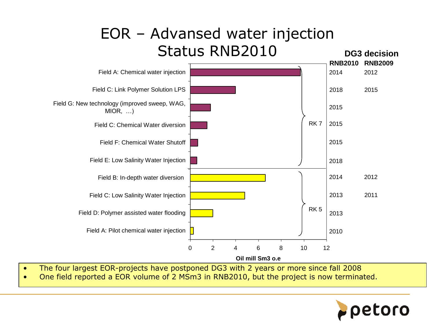### EOR – Advansed water injection Status RNB2010



- The four largest EOR-projects have postponed DG3 with 2 years or more since fall 2008
- One field reported a EOR volume of 2 MSm3 in RNB2010, but the project is now terminated.

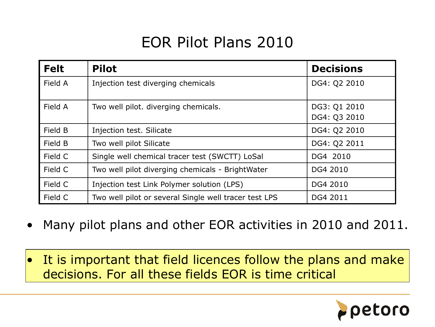## EOR Pilot Plans 2010

| <b>Felt</b> | <b>Pilot</b>                                          | <b>Decisions</b>             |
|-------------|-------------------------------------------------------|------------------------------|
| Field A     | Injection test diverging chemicals                    | DG4: Q2 2010                 |
| Field A     | Two well pilot. diverging chemicals.                  | DG3: Q1 2010<br>DG4: Q3 2010 |
| Field B     | Injection test. Silicate                              | DG4: Q2 2010                 |
| Field B     | Two well pilot Silicate                               | DG4: Q2 2011                 |
| Field C     | Single well chemical tracer test (SWCTT) LoSal        | DG4 2010                     |
| Field C     | Two well pilot diverging chemicals - BrightWater      | DG4 2010                     |
| Field C     | Injection test Link Polymer solution (LPS)            | DG4 2010                     |
| Field C     | Two well pilot or several Single well tracer test LPS | DG4 2011                     |

- Many pilot plans and other EOR activities in 2010 and 2011.
- It is important that field licences follow the plans and make decisions. For all these fields EOR is time critical

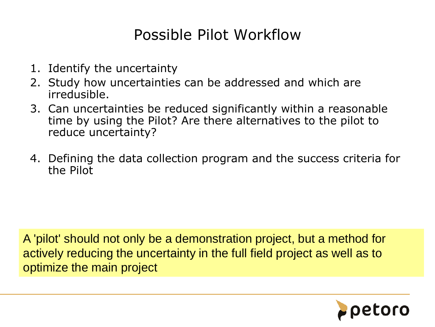### Possible Pilot Workflow

- 1. Identify the uncertainty
- 2. Study how uncertainties can be addressed and which are irredusible.
- 3. Can uncertainties be reduced significantly within a reasonable time by using the Pilot? Are there alternatives to the pilot to reduce uncertainty?
- 4. Defining the data collection program and the success criteria for the Pilot

A 'pilot' should not only be a demonstration project, but a method for actively reducing the uncertainty in the full field project as well as to optimize the main project

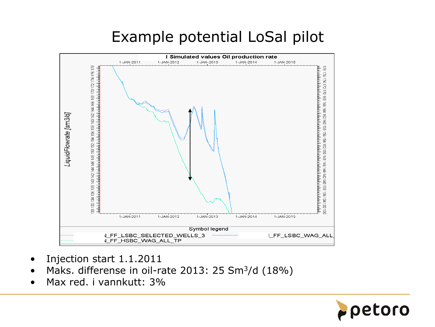## Example potential LoSal pilot



- Injection start 1.1.2011
- Maks. differense in oil-rate 2013: 25 Sm $3/d$  (18%)
- Max red. i vannkutt: 3%

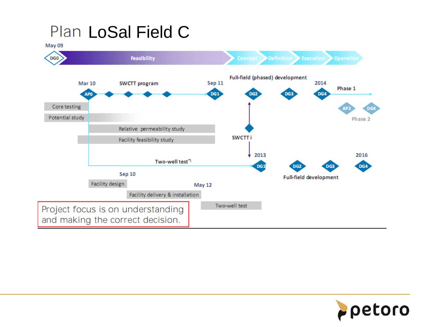## Plan LoSal Field C



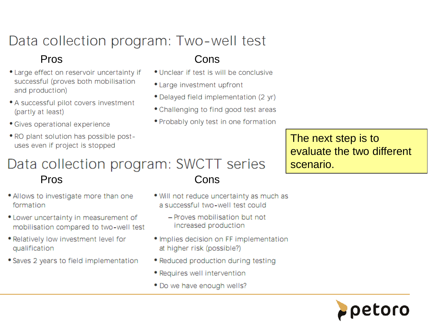### Data collection program: Two-well test

#### Pros

- Large effect on reservoir uncertainty if successful (proves both mobilisation and production)
- A successful pilot covers investment (partly at least)
- Gives operational experience
- . RO plant solution has possible postuses even if project is stopped

#### Cons

- Unclear if test is will be conclusive
- Large investment upfront
- Delayed field implementation (2 yr)
- Challenging to find good test areas
- Probably only test in one formation

The next step is to evaluate the two different scenario.

#### Data collection program: SWCTT series Pros Cons

- . Allows to investigate more than one formation
- Lower uncertainty in measurement of mobilisation compared to two-well test
- . Relatively low investment level for qualification
- Saves 2 years to field implementation
- . Will not reduce uncertainty as much as a successful two-well test could
	- Proves mobilisation but not increased production
- · Implies decision on FF implementation at higher risk (possible?)
- Reduced production during testing
- Requires well intervention
- Do we have enough wells?

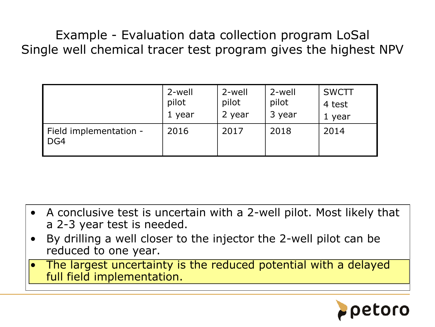Example - Evaluation data collection program LoSal Single well chemical tracer test program gives the highest NPV

|                               | 2-well | 2-well | 2-well | <b>SWCTT</b> |
|-------------------------------|--------|--------|--------|--------------|
|                               | pilot  | pilot  | pilot  | 4 test       |
|                               | 1 year | 2 year | 3 year | 1 year       |
| Field implementation -<br>DG4 | 2016   | 2017   | 2018   | 2014         |

- A conclusive test is uncertain with a 2-well pilot. Most likely that a 2-3 year test is needed.
- By drilling a well closer to the injector the 2-well pilot can be reduced to one year.
- The largest uncertainty is the reduced potential with a delayed full field implementation.

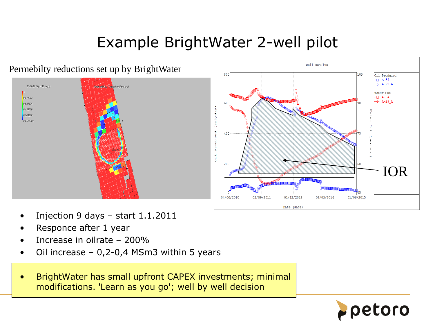## Example BrightWater 2-well pilot





- Injection 9 days  $-$  start 1.1.2011
- Responce after 1 year
- Increase in oilrate 200%
- Oil increase 0,2-0,4 MSm3 within 5 years
- BrightWater has small upfront CAPEX investments; minimal modifications. 'Learn as you go'; well by well decision

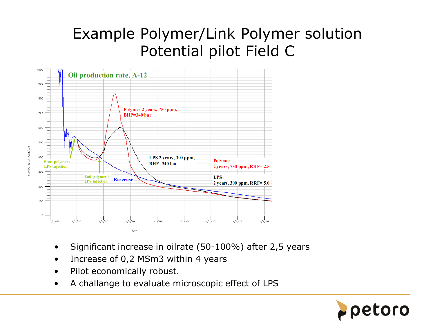### Example Polymer/Link Polymer solution Potential pilot Field C



- Significant increase in oilrate (50-100%) after 2,5 years
- Increase of 0,2 MSm3 within 4 years
- Pilot economically robust.
- A challange to evaluate microscopic effect of LPS

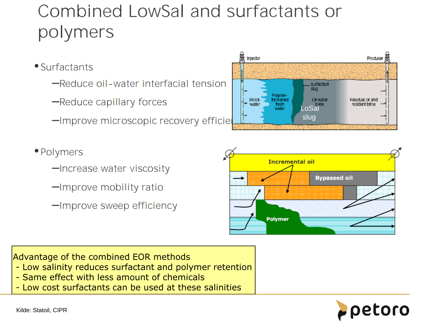# Combined LowSal and surfactants or polymers

- Surfactants
	- -Reduce oil-water interfacial tension
	- -Reduce capillary forces
	- -Improve microscopic recovery efficie



- · Polymers
	- -Increase water viscosity
	- -Improve mobility ratio
	- -Improve sweep efficiency



Advantage of the combined EOR methods

- Low salinity reduces surfactant and polymer retention
- Same effect with less amount of chemicals
- Low cost surfactants can be used at these salinities

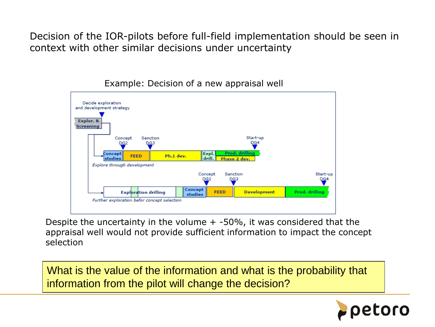Decision of the IOR-pilots before full-field implementation should be seen in context with other similar decisions under uncertainty



Example: Decision of a new appraisal well

Despite the uncertainty in the volume  $+$  -50%, it was considered that the appraisal well would not provide sufficient information to impact the concept selection

What is the value of the information and what is the probability that information from the pilot will change the decision?

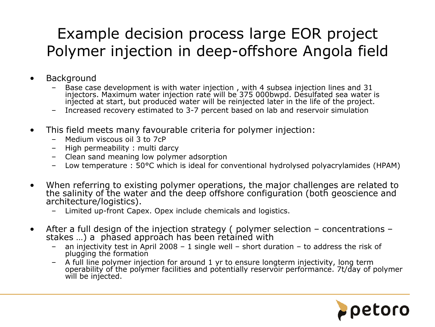## Example decision process large EOR project Polymer injection in deep-offshore Angola field

- **Background** 
	- Base case development is with water injection , with 4 subsea injection lines and 31 injectors. Maximum water injection rate will be 375 000bwpd. Desulfated sea water is injected at start, but produced water will be reinjected later in the life of the project.
	- Increased recovery estimated to 3-7 percent based on lab and reservoir simulation
- This field meets many favourable criteria for polymer injection:
	- Medium viscous oil 3 to 7cP
	- High permeability : multi darcy
	- Clean sand meaning low polymer adsorption
	- Low temperature : 50°C which is ideal for conventional hydrolysed polyacrylamides (HPAM)
- When referring to existing polymer operations, the major challenges are related to the salinity of the water and the deep offshore configuration (both geoscience and architecture/logistics).
	- Limited up-front Capex. Opex include chemicals and logistics.
- After a full design of the injection strategy ( polymer selection concentrations stakes ...) a phased approach has been retained with
	- an injectivity test in April 2008 1 single well short duration to address the risk of plugging the formation
	- A full line polymer injection for around 1 yr to ensure longterm injectivity, long term operability of the polymer facilities and potentially reservoir performance. 7t/day of polymer will be injected.

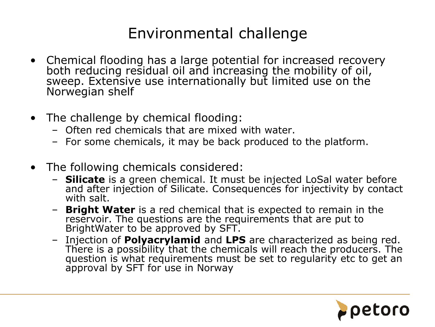### Environmental challenge

- Chemical flooding has a large potential for increased recovery both reducing residual oil and increasing the mobility of oil, sweep. Extensive use internationally but limited use on the Norwegian shelf
- The challenge by chemical flooding:
	- Often red chemicals that are mixed with water.
	- For some chemicals, it may be back produced to the platform.
- The following chemicals considered:
	- **Silicate** is a green chemical. It must be injected LoSal water before and after injection of Silicate. Consequences for injectivity by contact with salt.
	- **Bright Water** is a red chemical that is expected to remain in the reservoir. The questions are the requirements that are put to BrightWater to be approved by SFT.
	- Injection of **Polyacrylamid** and **LPS** are characterized as being red. There is a possibility that the chemicals will reach the producers. The question is what requirements must be set to regularity etc to get an approval by SFT for use in Norway